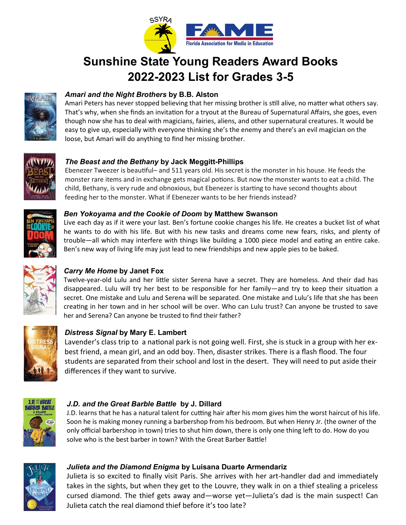

# **Sunshine State Young Readers Award Books 2022-2023 List for Grades 3-5**



# *Amari and the Night Brothers* **by B.B. Alston**

Amari Peters has never stopped believing that her missing brother is still alive, no matter what others say. That's why, when she finds an invitation for a tryout at the Bureau of Supernatural Affairs, she goes, even though now she has to deal with magicians, fairies, aliens, and other supernatural creatures. It would be easy to give up, especially with everyone thinking she's the enemy and there's an evil magician on the loose, but Amari will do anything to find her missing brother.



## *The Beast and the Bethany* **by Jack Meggitt-Phillips**

Ebenezer Tweezer is beautiful– and 511 years old. His secret is the monster in his house. He feeds the monster rare items and in exchange gets magical potions. But now the monster wants to eat a child. The child, Bethany, is very rude and obnoxious, but Ebenezer is starting to have second thoughts about feeding her to the monster. What if Ebenezer wants to be her friends instead?



#### *Ben Yokoyama and the Cookie of Doom* **by Matthew Swanson**

Live each day as if it were your last. Ben's fortune cookie changes his life. He creates a bucket list of what he wants to do with his life. But with his new tasks and dreams come new fears, risks, and plenty of trouble—all which may interfere with things like building a 1000 piece model and eating an entire cake. Ben's new way of living life may just lead to new friendships and new apple pies to be baked.



# *Carry Me Home* **by Janet Fox**

Twelve-year-old Lulu and her little sister Serena have a secret. They are homeless. And their dad has disappeared. Lulu will try her best to be responsible for her family—and try to keep their situation a secret. One mistake and Lulu and Serena will be separated. One mistake and Lulu's life that she has been creating in her town and in her school will be over. Who can Lulu trust? Can anyone be trusted to save her and Serena? Can anyone be trusted to find their father?



## *Distress Signal* **by Mary E. Lambert**

Lavender's class trip to a national park is not going well. First, she is stuck in a group with her exbest friend, a mean girl, and an odd boy. Then, disaster strikes. There is a flash flood. The four students are separated from their school and lost in the desert. They will need to put aside their differences if they want to survive.



## *J.D. and the Great Barble Battle* **by J. Dillard**

J.D. learns that he has a natural talent for cutting hair after his mom gives him the worst haircut of his life. Soon he is making money running a barbershop from his bedroom. But when Henry Jr. (the owner of the only official barbershop in town) tries to shut him down, there is only one thing left to do. How do you solve who is the best barber in town? With the Great Barber Battle!



## *Julieta and the Diamond Enigma* **by Luisana Duarte Armendariz**

Julieta is so excited to finally visit Paris. She arrives with her art-handler dad and immediately takes in the sights, but when they get to the Louvre, they walk in on a thief stealing a priceless cursed diamond. The thief gets away and—worse yet—Julieta's dad is the main suspect! Can Julieta catch the real diamond thief before it's too late?